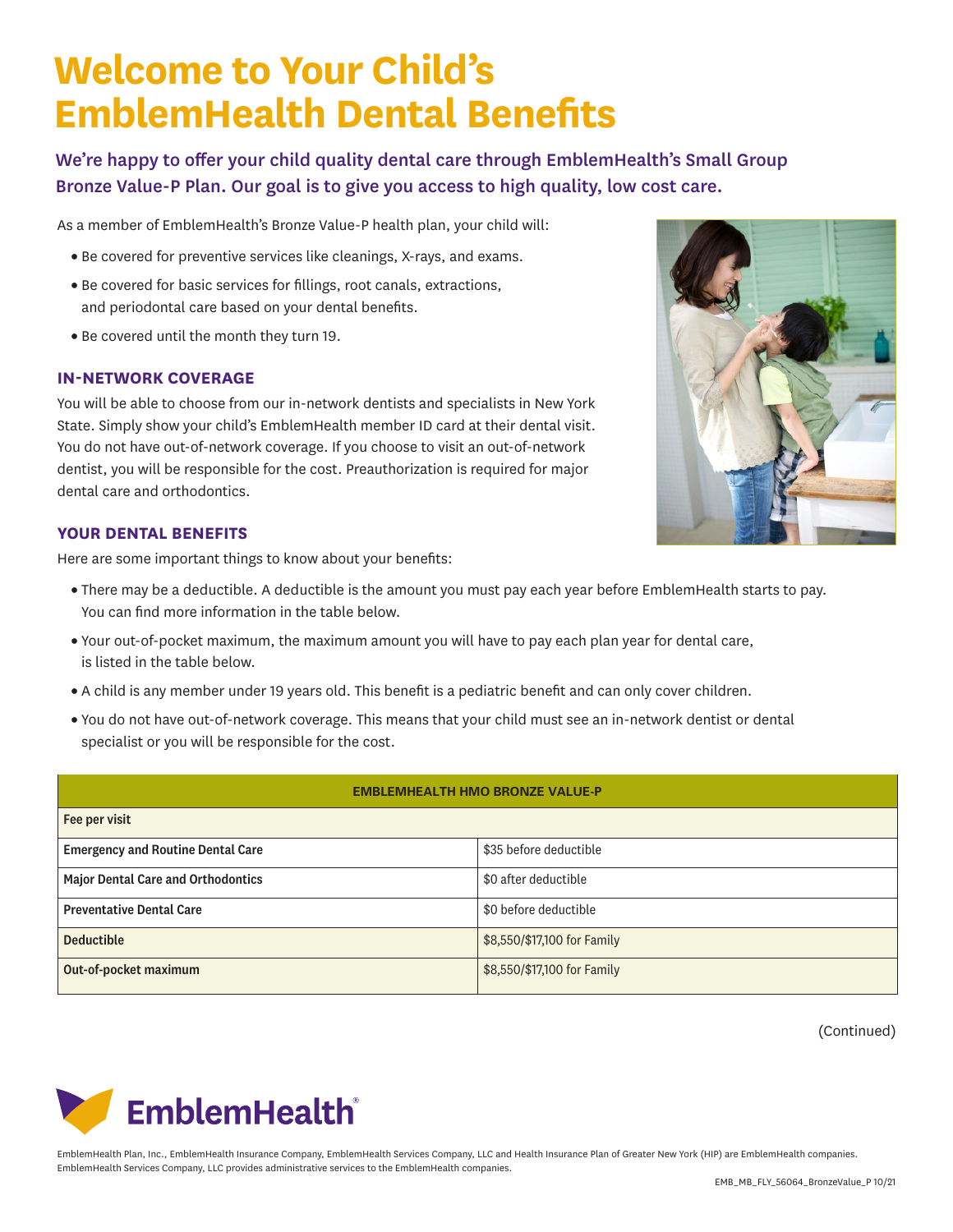# **Welcome to Your Child's EmblemHealth Dental Benefits**

We're happy to offer your child quality dental care through EmblemHealth's Small Group Bronze Value-P Plan. Our goal is to give you access to high quality, low cost care.

As a member of EmblemHealth's Bronze Value-P health plan, your child will:

- Be covered for preventive services like cleanings, X-rays, and exams.
- Be covered for basic services for fillings, root canals, extractions, and periodontal care based on your dental benefits.
- Be covered until the month they turn 19.

#### **IN-NETWORK COVERAGE**

You will be able to choose from our in-network dentists and specialists in New York State. Simply show your child's EmblemHealth member ID card at their dental visit. You do not have out-of-network coverage. If you choose to visit an out-of-network dentist, you will be responsible for the cost. Preauthorization is required for major dental care and orthodontics.

### **YOUR DENTAL BENEFITS**

Here are some important things to know about your benefits:

- There may be a deductible. A deductible is the amount you must pay each year before EmblemHealth starts to pay. You can find more information in the table below.
- Your out-of-pocket maximum, the maximum amount you will have to pay each plan year for dental care, is listed in the table below.
- A child is any member under 19 years old. This benefit is a pediatric benefit and can only cover children.
- You do not have out-of-network coverage. This means that your child must see an in-network dentist or dental specialist or you will be responsible for the cost.

#### **EMBLEMHEALTH HMO BRONZE VALUE-P**

| Fee per visit                             |                             |
|-------------------------------------------|-----------------------------|
| <b>Emergency and Routine Dental Care</b>  | \$35 before deductible      |
| <b>Major Dental Care and Orthodontics</b> | \$0 after deductible        |
| <b>Preventative Dental Care</b>           | \$0 before deductible       |
| <b>Deductible</b>                         | \$8,550/\$17,100 for Family |
| Out-of-pocket maximum                     | \$8,550/\$17,100 for Family |

(Continued)



EmblemHealth Plan, Inc., EmblemHealth Insurance Company, EmblemHealth Services Company, LLC and Health Insurance Plan of Greater New York (HIP) are EmblemHealth companies. EmblemHealth Services Company, LLC provides administrative services to the EmblemHealth companies.